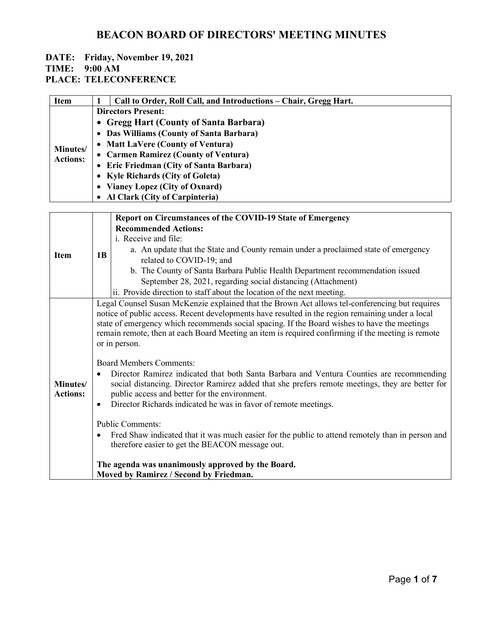#### **DATE: Friday, November 19, 2021 TIME: 9:00 AM**

**PLACE: TELECONFERENCE**

| <b>Item</b>                 | Call to Order, Roll Call, and Introductions – Chair, Gregg Hart. |
|-----------------------------|------------------------------------------------------------------|
|                             | <b>Directors Present:</b>                                        |
|                             | • Gregg Hart (County of Santa Barbara)                           |
|                             | • Das Williams (County of Santa Barbara)                         |
| Minutes/<br><b>Actions:</b> | • Matt LaVere (County of Ventura)                                |
|                             | • Carmen Ramirez (County of Ventura)                             |
|                             | • Eric Friedman (City of Santa Barbara)                          |
|                             | • Kyle Richards (City of Goleta)                                 |
|                             | • Vianey Lopez (City of Oxnard)                                  |
|                             | <b>Al Clark (City of Carpinteria)</b>                            |

|                             |                                                                                                                                                                                                                                                                                                                                                                                                                                                                                                                                                                                                                                                                                                                                                                                                                                                                                                                                                                                                                                                                                                             | Report on Circumstances of the COVID-19 State of Emergency                          |
|-----------------------------|-------------------------------------------------------------------------------------------------------------------------------------------------------------------------------------------------------------------------------------------------------------------------------------------------------------------------------------------------------------------------------------------------------------------------------------------------------------------------------------------------------------------------------------------------------------------------------------------------------------------------------------------------------------------------------------------------------------------------------------------------------------------------------------------------------------------------------------------------------------------------------------------------------------------------------------------------------------------------------------------------------------------------------------------------------------------------------------------------------------|-------------------------------------------------------------------------------------|
|                             |                                                                                                                                                                                                                                                                                                                                                                                                                                                                                                                                                                                                                                                                                                                                                                                                                                                                                                                                                                                                                                                                                                             | <b>Recommended Actions:</b>                                                         |
|                             |                                                                                                                                                                                                                                                                                                                                                                                                                                                                                                                                                                                                                                                                                                                                                                                                                                                                                                                                                                                                                                                                                                             | i. Receive and file:                                                                |
|                             |                                                                                                                                                                                                                                                                                                                                                                                                                                                                                                                                                                                                                                                                                                                                                                                                                                                                                                                                                                                                                                                                                                             | a. An update that the State and County remain under a proclaimed state of emergency |
| <b>Item</b>                 | 1B                                                                                                                                                                                                                                                                                                                                                                                                                                                                                                                                                                                                                                                                                                                                                                                                                                                                                                                                                                                                                                                                                                          | related to COVID-19; and                                                            |
|                             |                                                                                                                                                                                                                                                                                                                                                                                                                                                                                                                                                                                                                                                                                                                                                                                                                                                                                                                                                                                                                                                                                                             | b. The County of Santa Barbara Public Health Department recommendation issued       |
|                             |                                                                                                                                                                                                                                                                                                                                                                                                                                                                                                                                                                                                                                                                                                                                                                                                                                                                                                                                                                                                                                                                                                             | September 28, 2021, regarding social distancing (Attachment)                        |
|                             |                                                                                                                                                                                                                                                                                                                                                                                                                                                                                                                                                                                                                                                                                                                                                                                                                                                                                                                                                                                                                                                                                                             |                                                                                     |
| Minutes/<br><b>Actions:</b> | ii. Provide direction to staff about the location of the next meeting.<br>Legal Counsel Susan McKenzie explained that the Brown Act allows tel-conferencing but requires<br>notice of public access. Recent developments have resulted in the region remaining under a local<br>state of emergency which recommends social spacing. If the Board wishes to have the meetings<br>remain remote, then at each Board Meeting an item is required confirming if the meeting is remote<br>or in person.<br><b>Board Members Comments:</b><br>Director Ramirez indicated that both Santa Barbara and Ventura Counties are recommending<br>social distancing. Director Ramirez added that she prefers remote meetings, they are better for<br>public access and better for the environment.<br>Director Richards indicated he was in favor of remote meetings.<br>$\bullet$<br><b>Public Comments:</b><br>Fred Shaw indicated that it was much easier for the public to attend remotely than in person and<br>therefore easier to get the BEACON message out.<br>The agenda was unanimously approved by the Board. |                                                                                     |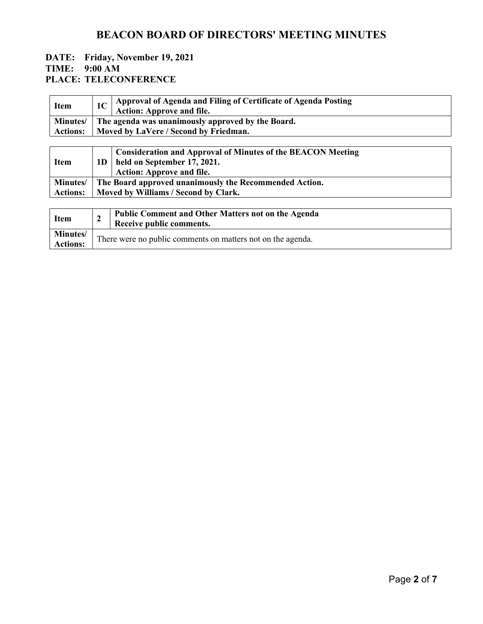| <b>Item</b>      | 1C                                   | Approval of Agenda and Filing of Certificate of Agenda Posting<br><b>Action: Approve and file.</b>                                    |  |
|------------------|--------------------------------------|---------------------------------------------------------------------------------------------------------------------------------------|--|
| <b>Minutes</b> / |                                      | The agenda was unanimously approved by the Board.                                                                                     |  |
| <b>Actions:</b>  |                                      | Moved by LaVere / Second by Friedman.                                                                                                 |  |
|                  |                                      |                                                                                                                                       |  |
| <b>Item</b>      | 1D.                                  | <b>Consideration and Approval of Minutes of the BEACON Meeting</b><br>held on September 17, 2021.<br><b>Action: Approve and file.</b> |  |
| Minutes/         |                                      | The Board approved unanimously the Recommended Action.                                                                                |  |
| <b>Actions:</b>  | Moved by Williams / Second by Clark. |                                                                                                                                       |  |
|                  |                                      |                                                                                                                                       |  |

| <b>Item</b>                         | <b>Public Comment and Other Matters not on the Agenda</b><br>Receive public comments. |
|-------------------------------------|---------------------------------------------------------------------------------------|
| <b>Minutes</b> /<br><b>Actions:</b> | There were no public comments on matters not on the agenda.                           |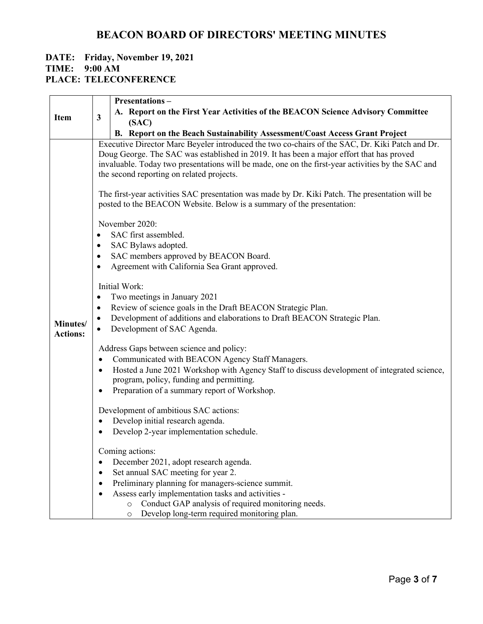|                 |                         | Presentations-                                                                                                                          |
|-----------------|-------------------------|-----------------------------------------------------------------------------------------------------------------------------------------|
|                 |                         | A. Report on the First Year Activities of the BEACON Science Advisory Committee                                                         |
| <b>Item</b>     | $\overline{\mathbf{3}}$ | (SAC)                                                                                                                                   |
|                 |                         | B. Report on the Beach Sustainability Assessment/Coast Access Grant Project                                                             |
|                 |                         | Executive Director Marc Beyeler introduced the two co-chairs of the SAC, Dr. Kiki Patch and Dr.                                         |
|                 |                         | Doug George. The SAC was established in 2019. It has been a major effort that has proved                                                |
|                 |                         | invaluable. Today two presentations will be made, one on the first-year activities by the SAC and                                       |
|                 |                         | the second reporting on related projects.                                                                                               |
|                 |                         | The first-year activities SAC presentation was made by Dr. Kiki Patch. The presentation will be                                         |
|                 |                         | posted to the BEACON Website. Below is a summary of the presentation:                                                                   |
|                 |                         | November 2020:                                                                                                                          |
|                 | $\bullet$               | SAC first assembled.                                                                                                                    |
|                 | ٠                       | SAC Bylaws adopted.                                                                                                                     |
|                 | ٠                       | SAC members approved by BEACON Board.                                                                                                   |
|                 | $\bullet$               | Agreement with California Sea Grant approved.                                                                                           |
|                 |                         | Initial Work:                                                                                                                           |
|                 | ٠                       | Two meetings in January 2021                                                                                                            |
|                 | ٠                       | Review of science goals in the Draft BEACON Strategic Plan.                                                                             |
| Minutes/        | $\bullet$               | Development of additions and elaborations to Draft BEACON Strategic Plan.<br>Development of SAC Agenda.                                 |
| <b>Actions:</b> |                         |                                                                                                                                         |
|                 |                         | Address Gaps between science and policy:                                                                                                |
|                 |                         | Communicated with BEACON Agency Staff Managers.                                                                                         |
|                 | $\bullet$               | Hosted a June 2021 Workshop with Agency Staff to discuss development of integrated science,<br>program, policy, funding and permitting. |
|                 | ٠                       | Preparation of a summary report of Workshop.                                                                                            |
|                 |                         |                                                                                                                                         |
|                 |                         | Development of ambitious SAC actions:                                                                                                   |
|                 | ٠                       | Develop initial research agenda.                                                                                                        |
|                 |                         | Develop 2-year implementation schedule.                                                                                                 |
|                 |                         | Coming actions:                                                                                                                         |
|                 |                         | December 2021, adopt research agenda.                                                                                                   |
|                 |                         | Set annual SAC meeting for year 2.                                                                                                      |
|                 |                         | Preliminary planning for managers-science summit.                                                                                       |
|                 |                         | Assess early implementation tasks and activities -                                                                                      |
|                 |                         | Conduct GAP analysis of required monitoring needs.<br>$\circ$                                                                           |
|                 |                         | Develop long-term required monitoring plan.<br>$\circ$                                                                                  |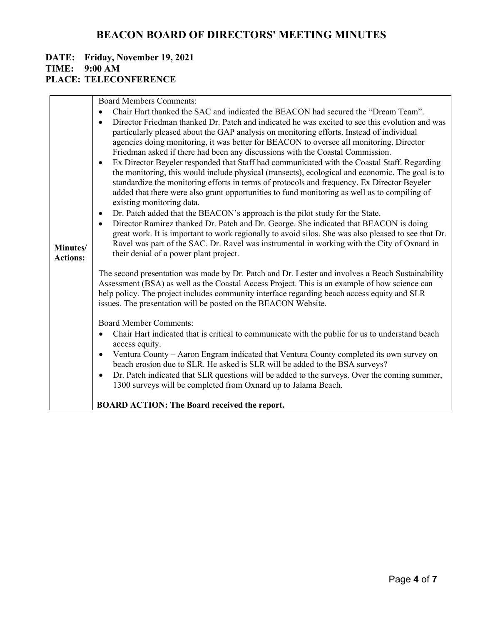| Minutes/<br><b>Actions:</b> | <b>Board Members Comments:</b><br>Chair Hart thanked the SAC and indicated the BEACON had secured the "Dream Team".<br>$\bullet$<br>Director Friedman thanked Dr. Patch and indicated he was excited to see this evolution and was<br>particularly pleased about the GAP analysis on monitoring efforts. Instead of individual<br>agencies doing monitoring, it was better for BEACON to oversee all monitoring. Director<br>Friedman asked if there had been any discussions with the Coastal Commission.<br>Ex Director Beyeler responded that Staff had communicated with the Coastal Staff. Regarding<br>$\bullet$<br>the monitoring, this would include physical (transects), ecological and economic. The goal is to<br>standardize the monitoring efforts in terms of protocols and frequency. Ex Director Beyeler<br>added that there were also grant opportunities to fund monitoring as well as to compiling of<br>existing monitoring data.<br>Dr. Patch added that the BEACON's approach is the pilot study for the State.<br>$\bullet$<br>Director Ramirez thanked Dr. Patch and Dr. George. She indicated that BEACON is doing<br>$\bullet$<br>great work. It is important to work regionally to avoid silos. She was also pleased to see that Dr.<br>Ravel was part of the SAC. Dr. Ravel was instrumental in working with the City of Oxnard in<br>their denial of a power plant project.<br>The second presentation was made by Dr. Patch and Dr. Lester and involves a Beach Sustainability<br>Assessment (BSA) as well as the Coastal Access Project. This is an example of how science can<br>help policy. The project includes community interface regarding beach access equity and SLR<br>issues. The presentation will be posted on the BEACON Website.<br><b>Board Member Comments:</b><br>Chair Hart indicated that is critical to communicate with the public for us to understand beach<br>access equity.<br>Ventura County – Aaron Engram indicated that Ventura County completed its own survey on<br>٠<br>beach erosion due to SLR. He asked is SLR will be added to the BSA surveys?<br>Dr. Patch indicated that SLR questions will be added to the surveys. Over the coming summer,<br>$\bullet$<br>1300 surveys will be completed from Oxnard up to Jalama Beach.<br><b>BOARD ACTION: The Board received the report.</b> |
|-----------------------------|------------------------------------------------------------------------------------------------------------------------------------------------------------------------------------------------------------------------------------------------------------------------------------------------------------------------------------------------------------------------------------------------------------------------------------------------------------------------------------------------------------------------------------------------------------------------------------------------------------------------------------------------------------------------------------------------------------------------------------------------------------------------------------------------------------------------------------------------------------------------------------------------------------------------------------------------------------------------------------------------------------------------------------------------------------------------------------------------------------------------------------------------------------------------------------------------------------------------------------------------------------------------------------------------------------------------------------------------------------------------------------------------------------------------------------------------------------------------------------------------------------------------------------------------------------------------------------------------------------------------------------------------------------------------------------------------------------------------------------------------------------------------------------------------------------------------------------------------------------------------------------------------------------------------------------------------------------------------------------------------------------------------------------------------------------------------------------------------------------------------------------------------------------------------------------------------------------------------------------------------------------------------------------------------------------------------------------------------------------|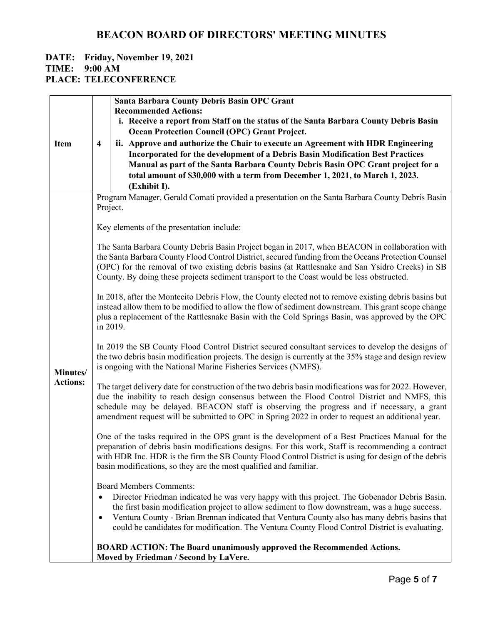# **DATE: Friday, November 19, 2021 TIME: 9:00 AM**

**PLACE: TELECONFERENCE**

|                 |                                                                                                     | <b>Santa Barbara County Debris Basin OPC Grant</b>                                                                                                                                                           |  |  |
|-----------------|-----------------------------------------------------------------------------------------------------|--------------------------------------------------------------------------------------------------------------------------------------------------------------------------------------------------------------|--|--|
|                 |                                                                                                     | <b>Recommended Actions:</b><br>i. Receive a report from Staff on the status of the Santa Barbara County Debris Basin                                                                                         |  |  |
|                 |                                                                                                     | <b>Ocean Protection Council (OPC) Grant Project.</b>                                                                                                                                                         |  |  |
| <b>Item</b>     | $\overline{\mathbf{4}}$                                                                             | ii. Approve and authorize the Chair to execute an Agreement with HDR Engineering                                                                                                                             |  |  |
|                 |                                                                                                     | Incorporated for the development of a Debris Basin Modification Best Practices                                                                                                                               |  |  |
|                 |                                                                                                     | Manual as part of the Santa Barbara County Debris Basin OPC Grant project for a                                                                                                                              |  |  |
|                 |                                                                                                     | total amount of \$30,000 with a term from December 1, 2021, to March 1, 2023.                                                                                                                                |  |  |
|                 |                                                                                                     | (Exhibit I).                                                                                                                                                                                                 |  |  |
|                 |                                                                                                     | Program Manager, Gerald Comati provided a presentation on the Santa Barbara County Debris Basin<br>Project.                                                                                                  |  |  |
|                 |                                                                                                     |                                                                                                                                                                                                              |  |  |
|                 |                                                                                                     | Key elements of the presentation include:                                                                                                                                                                    |  |  |
|                 |                                                                                                     | The Santa Barbara County Debris Basin Project began in 2017, when BEACON in collaboration with                                                                                                               |  |  |
|                 |                                                                                                     | the Santa Barbara County Flood Control District, secured funding from the Oceans Protection Counsel                                                                                                          |  |  |
|                 |                                                                                                     | (OPC) for the removal of two existing debris basins (at Rattlesnake and San Ysidro Creeks) in SB                                                                                                             |  |  |
|                 |                                                                                                     | County. By doing these projects sediment transport to the Coast would be less obstructed.                                                                                                                    |  |  |
|                 |                                                                                                     | In 2018, after the Montecito Debris Flow, the County elected not to remove existing debris basins but                                                                                                        |  |  |
|                 | instead allow them to be modified to allow the flow of sediment downstream. This grant scope change |                                                                                                                                                                                                              |  |  |
|                 |                                                                                                     | plus a replacement of the Rattlesnake Basin with the Cold Springs Basin, was approved by the OPC                                                                                                             |  |  |
|                 |                                                                                                     | in 2019.                                                                                                                                                                                                     |  |  |
|                 |                                                                                                     | In 2019 the SB County Flood Control District secured consultant services to develop the designs of<br>the two debris basin modification projects. The design is currently at the 35% stage and design review |  |  |
| Minutes/        |                                                                                                     | is ongoing with the National Marine Fisheries Services (NMFS).                                                                                                                                               |  |  |
| <b>Actions:</b> |                                                                                                     | The target delivery date for construction of the two debris basin modifications was for 2022. However,                                                                                                       |  |  |
|                 |                                                                                                     | due the inability to reach design consensus between the Flood Control District and NMFS, this<br>schedule may be delayed. BEACON staff is observing the progress and if necessary, a grant                   |  |  |
|                 |                                                                                                     | amendment request will be submitted to OPC in Spring 2022 in order to request an additional year.                                                                                                            |  |  |
|                 |                                                                                                     | One of the tasks required in the OPS grant is the development of a Best Practices Manual for the                                                                                                             |  |  |
|                 | preparation of debris basin modifications designs. For this work, Staff is recommending a contract  |                                                                                                                                                                                                              |  |  |
|                 |                                                                                                     | with HDR Inc. HDR is the firm the SB County Flood Control District is using for design of the debris<br>basin modifications, so they are the most qualified and familiar.                                    |  |  |
|                 |                                                                                                     | <b>Board Members Comments:</b>                                                                                                                                                                               |  |  |
|                 | $\bullet$                                                                                           | Director Friedman indicated he was very happy with this project. The Gobenador Debris Basin.                                                                                                                 |  |  |
|                 |                                                                                                     | the first basin modification project to allow sediment to flow downstream, was a huge success.                                                                                                               |  |  |
|                 | $\bullet$                                                                                           | Ventura County - Brian Brennan indicated that Ventura County also has many debris basins that<br>could be candidates for modification. The Ventura County Flood Control District is evaluating.              |  |  |
|                 |                                                                                                     | <b>BOARD ACTION: The Board unanimously approved the Recommended Actions.</b>                                                                                                                                 |  |  |
|                 |                                                                                                     | Moved by Friedman / Second by LaVere.                                                                                                                                                                        |  |  |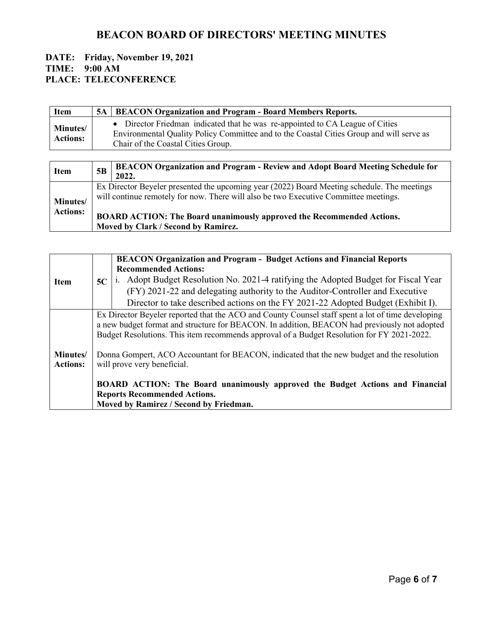| <b>Item</b>                        | 5A   BEACON Organization and Program - Board Members Reports.                                                                                                                                                   |
|------------------------------------|-----------------------------------------------------------------------------------------------------------------------------------------------------------------------------------------------------------------|
| <b>Minutes/</b><br><b>Actions:</b> | • Director Friedman indicated that he was re-appointed to CA League of Cities<br>Environmental Quality Policy Committee and to the Coastal Cities Group and will serve as<br>Chair of the Coastal Cities Group. |

| <b>Item</b>                 | 5B | <b>BEACON Organization and Program - Review and Adopt Board Meeting Schedule for</b><br>2022.                                                                                                                                                                       |
|-----------------------------|----|---------------------------------------------------------------------------------------------------------------------------------------------------------------------------------------------------------------------------------------------------------------------|
| Minutes/<br><b>Actions:</b> |    | Ex Director Beyeler presented the upcoming year (2022) Board Meeting schedule. The meetings<br>will continue remotely for now. There will also be two Executive Committee meetings.<br><b>BOARD ACTION: The Board unanimously approved the Recommended Actions.</b> |
|                             |    | Moved by Clark / Second by Ramirez.                                                                                                                                                                                                                                 |

|                 |                                                                                                   | <b>BEACON Organization and Program - Budget Actions and Financial Reports</b>                |  |
|-----------------|---------------------------------------------------------------------------------------------------|----------------------------------------------------------------------------------------------|--|
|                 |                                                                                                   | <b>Recommended Actions:</b>                                                                  |  |
| <b>Item</b>     | 5C                                                                                                | i. Adopt Budget Resolution No. 2021-4 ratifying the Adopted Budget for Fiscal Year           |  |
|                 |                                                                                                   | (FY) 2021-22 and delegating authority to the Auditor-Controller and Executive                |  |
|                 |                                                                                                   | Director to take described actions on the FY 2021-22 Adopted Budget (Exhibit I).             |  |
|                 | Ex Director Beyeler reported that the ACO and County Counsel staff spent a lot of time developing |                                                                                              |  |
|                 |                                                                                                   | a new budget format and structure for BEACON. In addition, BEACON had previously not adopted |  |
|                 | Budget Resolutions. This item recommends approval of a Budget Resolution for FY 2021-2022.        |                                                                                              |  |
|                 |                                                                                                   |                                                                                              |  |
| Minutes/        |                                                                                                   | Donna Gompert, ACO Accountant for BEACON, indicated that the new budget and the resolution   |  |
| <b>Actions:</b> |                                                                                                   | will prove very beneficial.                                                                  |  |
|                 |                                                                                                   | BOARD ACTION: The Board unanimously approved the Budget Actions and Financial                |  |
|                 | <b>Reports Recommended Actions.</b>                                                               |                                                                                              |  |
|                 |                                                                                                   | Moved by Ramirez / Second by Friedman.                                                       |  |